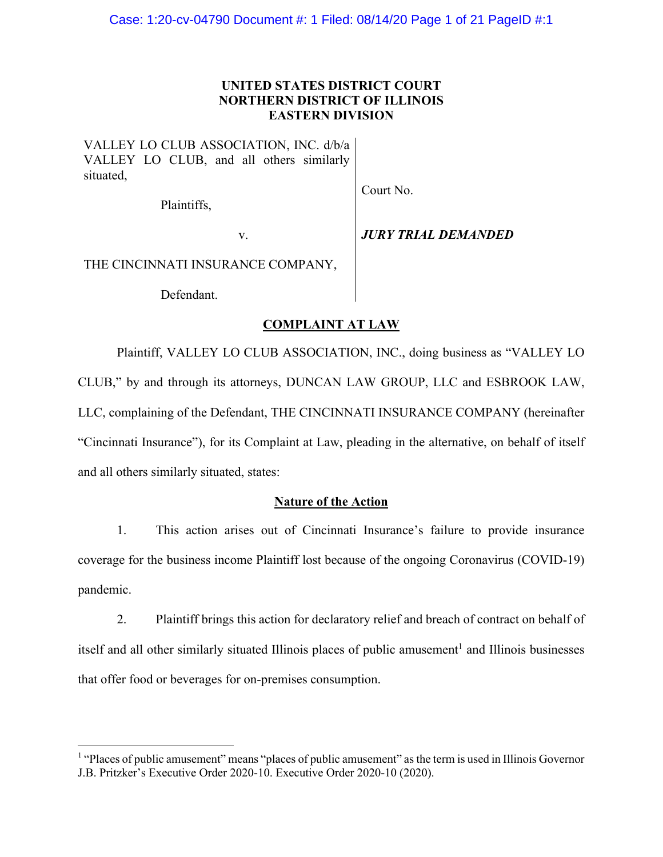## **UNITED STATES DISTRICT COURT NORTHERN DISTRICT OF ILLINOIS EASTERN DIVISION**

VALLEY LO CLUB ASSOCIATION, INC. d/b/a VALLEY LO CLUB, and all others similarly situated,

Plaintiffs,

## v. *JURY TRIAL DEMANDED*

Court No.

THE CINCINNATI INSURANCE COMPANY,

Defendant.

## **COMPLAINT AT LAW**

Plaintiff, VALLEY LO CLUB ASSOCIATION, INC., doing business as "VALLEY LO CLUB," by and through its attorneys, DUNCAN LAW GROUP, LLC and ESBROOK LAW, LLC, complaining of the Defendant, THE CINCINNATI INSURANCE COMPANY (hereinafter "Cincinnati Insurance"), for its Complaint at Law, pleading in the alternative, on behalf of itself and all others similarly situated, states:

## **Nature of the Action**

1. This action arises out of Cincinnati Insurance's failure to provide insurance coverage for the business income Plaintiff lost because of the ongoing Coronavirus (COVID-19) pandemic.

2. Plaintiff brings this action for declaratory relief and breach of contract on behalf of itself and all other similarly situated Illinois places of public amusement<sup>1</sup> and Illinois businesses that offer food or beverages for on-premises consumption.

<sup>&</sup>lt;sup>1</sup> "Places of public amusement" means "places of public amusement" as the term is used in Illinois Governor J.B. Pritzker's Executive Order 2020-10. Executive Order 2020-10 (2020).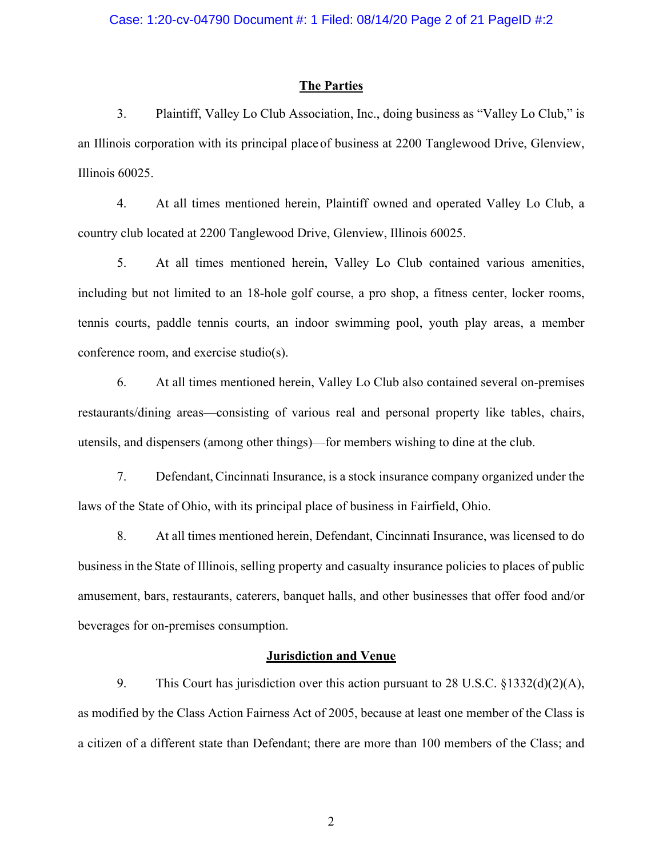## **The Parties**

3. Plaintiff, Valley Lo Club Association, Inc., doing business as "Valley Lo Club," is an Illinois corporation with its principal place of business at 2200 Tanglewood Drive, Glenview, Illinois 60025.

4. At all times mentioned herein, Plaintiff owned and operated Valley Lo Club, a country club located at 2200 Tanglewood Drive, Glenview, Illinois 60025.

5. At all times mentioned herein, Valley Lo Club contained various amenities, including but not limited to an 18-hole golf course, a pro shop, a fitness center, locker rooms, tennis courts, paddle tennis courts, an indoor swimming pool, youth play areas, a member conference room, and exercise studio(s).

6. At all times mentioned herein, Valley Lo Club also contained several on-premises restaurants/dining areas—consisting of various real and personal property like tables, chairs, utensils, and dispensers (among other things)—for members wishing to dine at the club.

7. Defendant, Cincinnati Insurance, is a stock insurance company organized under the laws of the State of Ohio, with its principal place of business in Fairfield, Ohio.

8. At all times mentioned herein, Defendant, Cincinnati Insurance, was licensed to do businessin the State of Illinois, selling property and casualty insurance policies to places of public amusement, bars, restaurants, caterers, banquet halls, and other businesses that offer food and/or beverages for on-premises consumption.

## **Jurisdiction and Venue**

9. This Court has jurisdiction over this action pursuant to 28 U.S.C. §1332(d)(2)(A), as modified by the Class Action Fairness Act of 2005, because at least one member of the Class is a citizen of a different state than Defendant; there are more than 100 members of the Class; and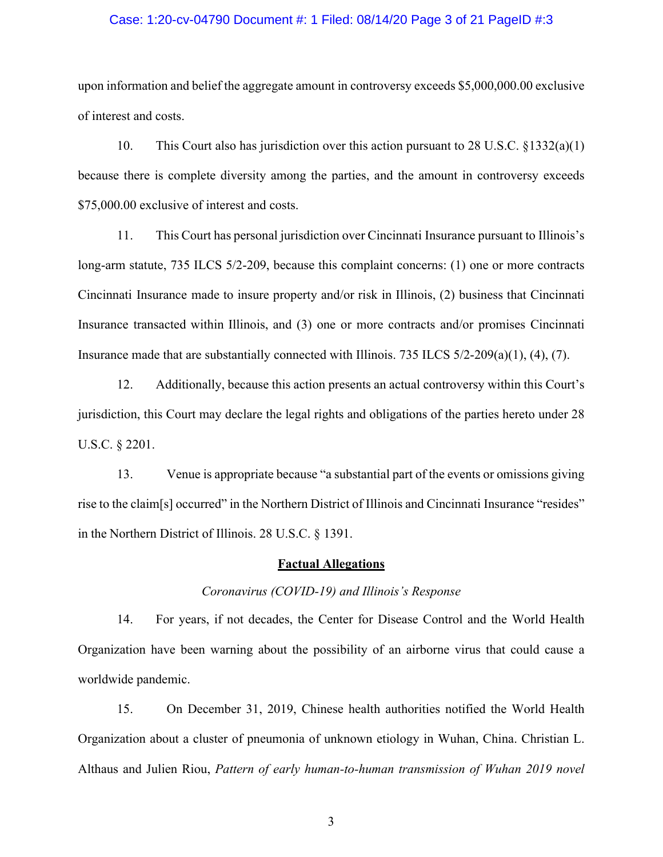## Case: 1:20-cv-04790 Document #: 1 Filed: 08/14/20 Page 3 of 21 PageID #:3

upon information and belief the aggregate amount in controversy exceeds \$5,000,000.00 exclusive of interest and costs.

10. This Court also has jurisdiction over this action pursuant to 28 U.S.C. §1332(a)(1) because there is complete diversity among the parties, and the amount in controversy exceeds \$75,000.00 exclusive of interest and costs.

11. This Court has personal jurisdiction over Cincinnati Insurance pursuant to Illinois's long-arm statute, 735 ILCS 5/2-209, because this complaint concerns: (1) one or more contracts Cincinnati Insurance made to insure property and/or risk in Illinois, (2) business that Cincinnati Insurance transacted within Illinois, and (3) one or more contracts and/or promises Cincinnati Insurance made that are substantially connected with Illinois. 735 ILCS 5/2-209(a)(1), (4), (7).

12. Additionally, because this action presents an actual controversy within this Court's jurisdiction, this Court may declare the legal rights and obligations of the parties hereto under 28 U.S.C. § 2201.

13. Venue is appropriate because "a substantial part of the events or omissions giving rise to the claim[s] occurred" in the Northern District of Illinois and Cincinnati Insurance "resides" in the Northern District of Illinois. 28 U.S.C. § 1391.

### **Factual Allegations**

### *Coronavirus (COVID-19) and Illinois's Response*

14. For years, if not decades, the Center for Disease Control and the World Health Organization have been warning about the possibility of an airborne virus that could cause a worldwide pandemic.

15. On December 31, 2019, Chinese health authorities notified the World Health Organization about a cluster of pneumonia of unknown etiology in Wuhan, China. Christian L. Althaus and Julien Riou, *Pattern of early human-to-human transmission of Wuhan 2019 novel*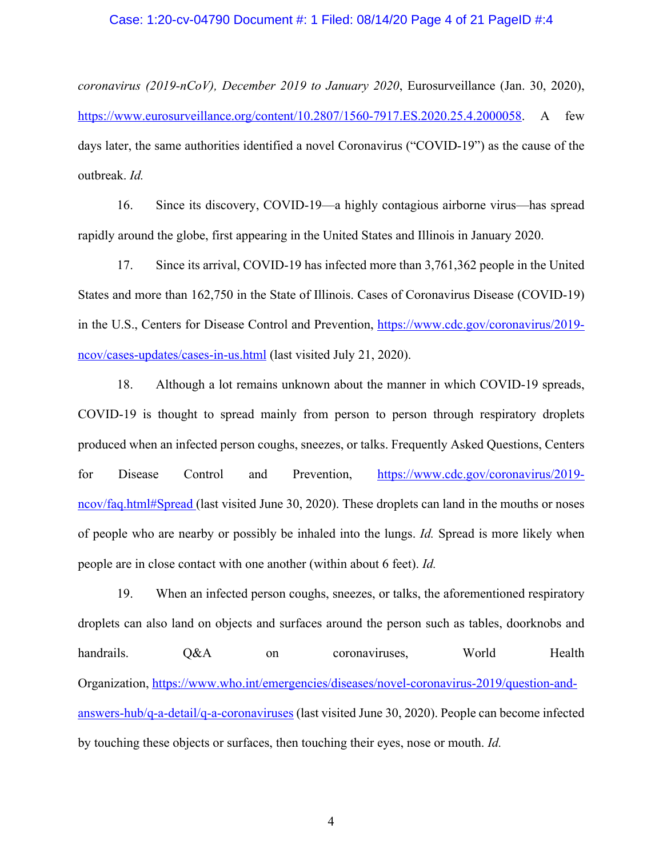### Case: 1:20-cv-04790 Document #: 1 Filed: 08/14/20 Page 4 of 21 PageID #:4

*coronavirus (2019-nCoV), December 2019 to January 2020*, Eurosurveillance (Jan. 30, 2020), https://www.eurosurveillance.org/content/10.2807/1560-7917.ES.2020.25.4.2000058. A few days later, the same authorities identified a novel Coronavirus ("COVID-19") as the cause of the outbreak. *Id.*

16. Since its discovery, COVID-19—a highly contagious airborne virus—has spread rapidly around the globe, first appearing in the United States and Illinois in January 2020.

17. Since its arrival, COVID-19 has infected more than 3,761,362 people in the United States and more than 162,750 in the State of Illinois. Cases of Coronavirus Disease (COVID-19) in the U.S., Centers for Disease Control and Prevention, https://www.cdc.gov/coronavirus/2019 ncov/cases-updates/cases-in-us.html (last visited July 21, 2020).

18. Although a lot remains unknown about the manner in which COVID-19 spreads, COVID-19 is thought to spread mainly from person to person through respiratory droplets produced when an infected person coughs, sneezes, or talks. Frequently Asked Questions, Centers for Disease Control and Prevention, https://www.cdc.gov/coronavirus/2019 ncov/faq.html#Spread (last visited June 30, 2020). These droplets can land in the mouths or noses of people who are nearby or possibly be inhaled into the lungs. *Id.* Spread is more likely when people are in close contact with one another (within about 6 feet). *Id.* 

19. When an infected person coughs, sneezes, or talks, the aforementioned respiratory droplets can also land on objects and surfaces around the person such as tables, doorknobs and handrails. O&A on coronaviruses, World Health Organization, https://www.who.int/emergencies/diseases/novel-coronavirus-2019/question-andanswers-hub/q-a-detail/q-a-coronaviruses (last visited June 30, 2020). People can become infected by touching these objects or surfaces, then touching their eyes, nose or mouth. *Id.*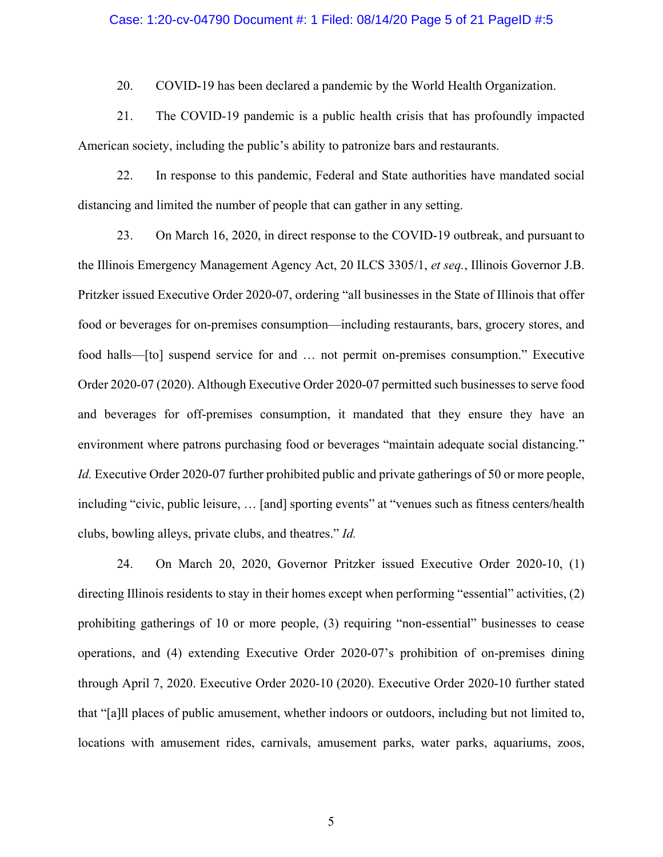#### Case: 1:20-cv-04790 Document #: 1 Filed: 08/14/20 Page 5 of 21 PageID #:5

20. COVID-19 has been declared a pandemic by the World Health Organization.

21. The COVID-19 pandemic is a public health crisis that has profoundly impacted American society, including the public's ability to patronize bars and restaurants.

22. In response to this pandemic, Federal and State authorities have mandated social distancing and limited the number of people that can gather in any setting.

23. On March 16, 2020, in direct response to the COVID-19 outbreak, and pursuant to the Illinois Emergency Management Agency Act, 20 ILCS 3305/1, *et seq.*, Illinois Governor J.B. Pritzker issued Executive Order 2020-07, ordering "all businesses in the State of Illinois that offer food or beverages for on-premises consumption—including restaurants, bars, grocery stores, and food halls—[to] suspend service for and … not permit on-premises consumption." Executive Order 2020-07 (2020). Although Executive Order 2020-07 permitted such businesses to serve food and beverages for off-premises consumption, it mandated that they ensure they have an environment where patrons purchasing food or beverages "maintain adequate social distancing." *Id.* Executive Order 2020-07 further prohibited public and private gatherings of 50 or more people, including "civic, public leisure, ... [and] sporting events" at "venues such as fitness centers/health clubs, bowling alleys, private clubs, and theatres." *Id.* 

24. On March 20, 2020, Governor Pritzker issued Executive Order 2020-10, (1) directing Illinois residents to stay in their homes except when performing "essential" activities, (2) prohibiting gatherings of 10 or more people, (3) requiring "non-essential" businesses to cease operations, and (4) extending Executive Order 2020-07's prohibition of on-premises dining through April 7, 2020. Executive Order 2020-10 (2020). Executive Order 2020-10 further stated that "[a]ll places of public amusement, whether indoors or outdoors, including but not limited to, locations with amusement rides, carnivals, amusement parks, water parks, aquariums, zoos,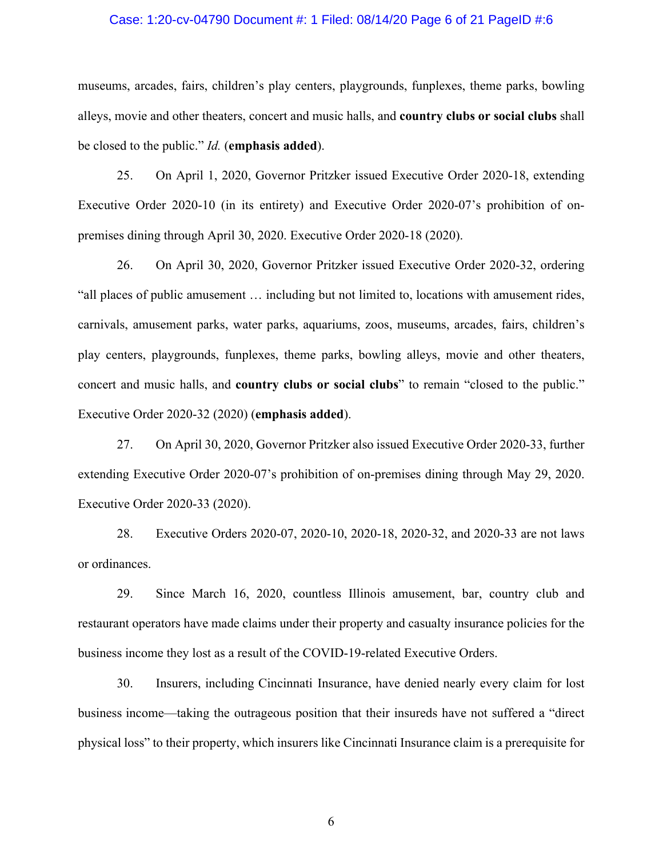### Case: 1:20-cv-04790 Document #: 1 Filed: 08/14/20 Page 6 of 21 PageID #:6

museums, arcades, fairs, children's play centers, playgrounds, funplexes, theme parks, bowling alleys, movie and other theaters, concert and music halls, and **country clubs or social clubs** shall be closed to the public." *Id.* (**emphasis added**).

25. On April 1, 2020, Governor Pritzker issued Executive Order 2020-18, extending Executive Order 2020-10 (in its entirety) and Executive Order 2020-07's prohibition of onpremises dining through April 30, 2020. Executive Order 2020-18 (2020).

26. On April 30, 2020, Governor Pritzker issued Executive Order 2020-32, ordering "all places of public amusement … including but not limited to, locations with amusement rides, carnivals, amusement parks, water parks, aquariums, zoos, museums, arcades, fairs, children's play centers, playgrounds, funplexes, theme parks, bowling alleys, movie and other theaters, concert and music halls, and **country clubs or social clubs**" to remain "closed to the public." Executive Order 2020-32 (2020) (**emphasis added**).

27. On April 30, 2020, Governor Pritzker also issued Executive Order 2020-33, further extending Executive Order 2020-07's prohibition of on-premises dining through May 29, 2020. Executive Order 2020-33 (2020).

28. Executive Orders 2020-07, 2020-10, 2020-18, 2020-32, and 2020-33 are not laws or ordinances.

29. Since March 16, 2020, countless Illinois amusement, bar, country club and restaurant operators have made claims under their property and casualty insurance policies for the business income they lost as a result of the COVID-19-related Executive Orders.

30. Insurers, including Cincinnati Insurance, have denied nearly every claim for lost business income—taking the outrageous position that their insureds have not suffered a "direct physical loss" to their property, which insurers like Cincinnati Insurance claim is a prerequisite for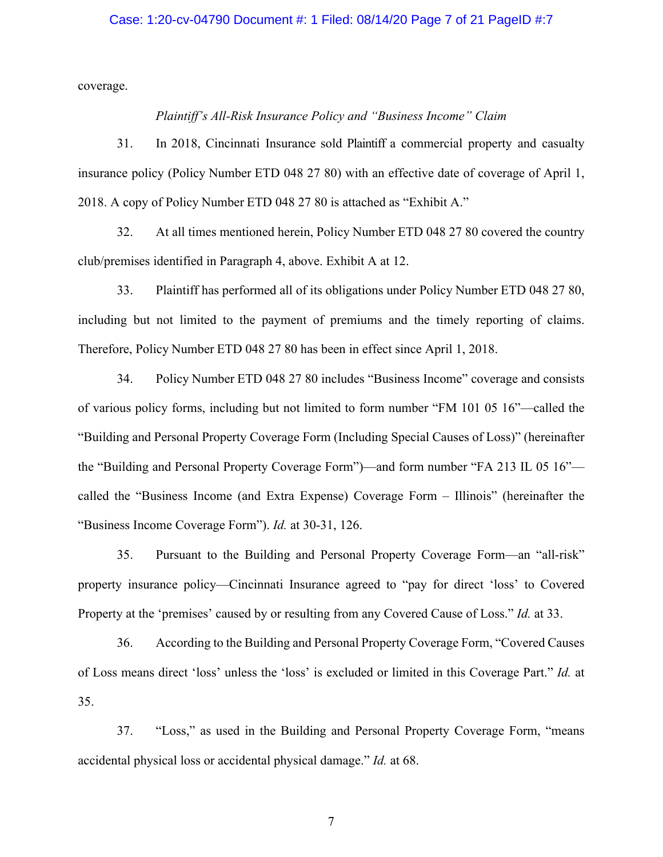## Case: 1:20-cv-04790 Document #: 1 Filed: 08/14/20 Page 7 of 21 PageID #:7

coverage.

## *Plaintiff's All-Risk Insurance Policy and "Business Income" Claim*

31. In 2018, Cincinnati Insurance sold Plaintiff a commercial property and casualty insurance policy (Policy Number ETD 048 27 80) with an effective date of coverage of April 1, 2018. A copy of Policy Number ETD 048 27 80 is attached as "Exhibit A."

32. At all times mentioned herein, Policy Number ETD 048 27 80 covered the country club/premises identified in Paragraph 4, above. Exhibit A at 12.

33. Plaintiff has performed all of its obligations under Policy Number ETD 048 27 80, including but not limited to the payment of premiums and the timely reporting of claims. Therefore, Policy Number ETD 048 27 80 has been in effect since April 1, 2018.

34. Policy Number ETD 048 27 80 includes "Business Income" coverage and consists of various policy forms, including but not limited to form number "FM 101 05 16"—called the "Building and Personal Property Coverage Form (Including Special Causes of Loss)" (hereinafter the "Building and Personal Property Coverage Form")—and form number "FA 213 IL 05 16" called the "Business Income (and Extra Expense) Coverage Form – Illinois" (hereinafter the "Business Income Coverage Form"). *Id.* at 30-31, 126.

35. Pursuant to the Building and Personal Property Coverage Form—an "all-risk" property insurance policy—Cincinnati Insurance agreed to "pay for direct 'loss' to Covered Property at the 'premises' caused by or resulting from any Covered Cause of Loss." *Id.* at 33.

36. According to the Building and Personal Property Coverage Form, "Covered Causes of Loss means direct 'loss' unless the 'loss' is excluded or limited in this Coverage Part." *Id.* at 35.

37. "Loss," as used in the Building and Personal Property Coverage Form, "means accidental physical loss or accidental physical damage." *Id.* at 68.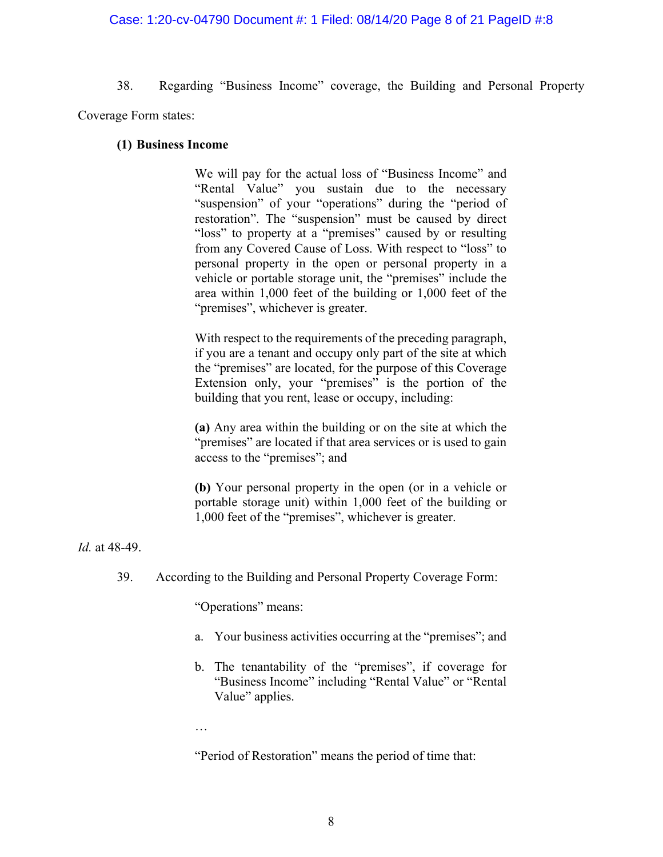## Case: 1:20-cv-04790 Document #: 1 Filed: 08/14/20 Page 8 of 21 PageID #:8

38. Regarding "Business Income" coverage, the Building and Personal Property Coverage Form states:

## **(1) Business Income**

We will pay for the actual loss of "Business Income" and "Rental Value" you sustain due to the necessary "suspension" of your "operations" during the "period of restoration". The "suspension" must be caused by direct "loss" to property at a "premises" caused by or resulting from any Covered Cause of Loss. With respect to "loss" to personal property in the open or personal property in a vehicle or portable storage unit, the "premises" include the area within 1,000 feet of the building or 1,000 feet of the "premises", whichever is greater.

With respect to the requirements of the preceding paragraph, if you are a tenant and occupy only part of the site at which the "premises" are located, for the purpose of this Coverage Extension only, your "premises" is the portion of the building that you rent, lease or occupy, including:

**(a)** Any area within the building or on the site at which the "premises" are located if that area services or is used to gain access to the "premises"; and

**(b)** Your personal property in the open (or in a vehicle or portable storage unit) within 1,000 feet of the building or 1,000 feet of the "premises", whichever is greater.

*Id.* at 48-49.

39. According to the Building and Personal Property Coverage Form:

"Operations" means:

- a. Your business activities occurring at the "premises"; and
- b. The tenantability of the "premises", if coverage for "Business Income" including "Rental Value" or "Rental Value" applies.
- …

"Period of Restoration" means the period of time that: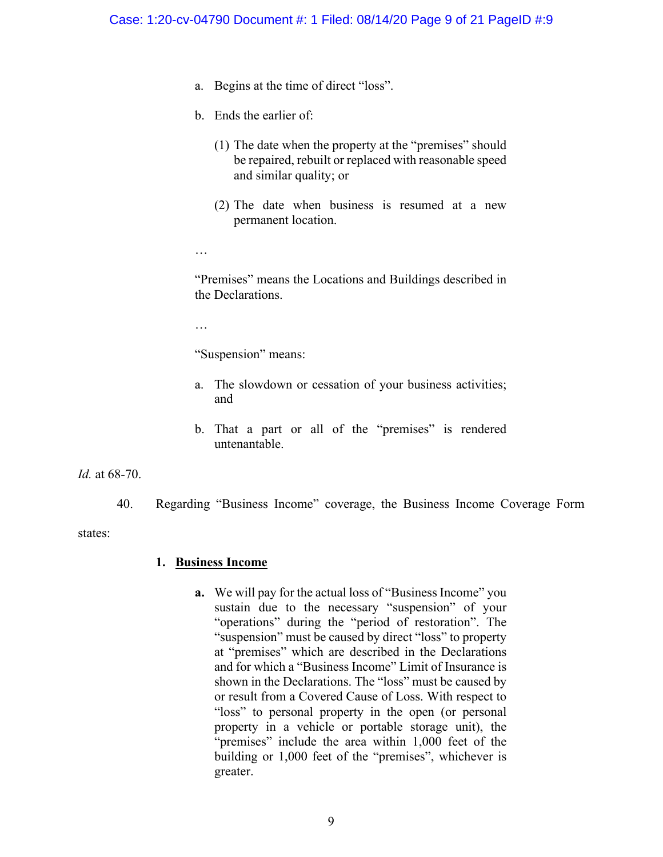- a. Begins at the time of direct "loss".
- b. Ends the earlier of:
	- (1) The date when the property at the "premises" should be repaired, rebuilt or replaced with reasonable speed and similar quality; or
	- (2) The date when business is resumed at a new permanent location.
- …

"Premises" means the Locations and Buildings described in the Declarations.

…

"Suspension" means:

- a. The slowdown or cessation of your business activities; and
- b. That a part or all of the "premises" is rendered untenantable.

*Id.* at 68-70.

40. Regarding "Business Income" coverage, the Business Income Coverage Form

states:

## **1. Business Income**

**a.** We will pay for the actual loss of "Business Income" you sustain due to the necessary "suspension" of your "operations" during the "period of restoration". The "suspension" must be caused by direct "loss" to property at "premises" which are described in the Declarations and for which a "Business Income" Limit of Insurance is shown in the Declarations. The "loss" must be caused by or result from a Covered Cause of Loss. With respect to "loss" to personal property in the open (or personal property in a vehicle or portable storage unit), the "premises" include the area within 1,000 feet of the building or 1,000 feet of the "premises", whichever is greater.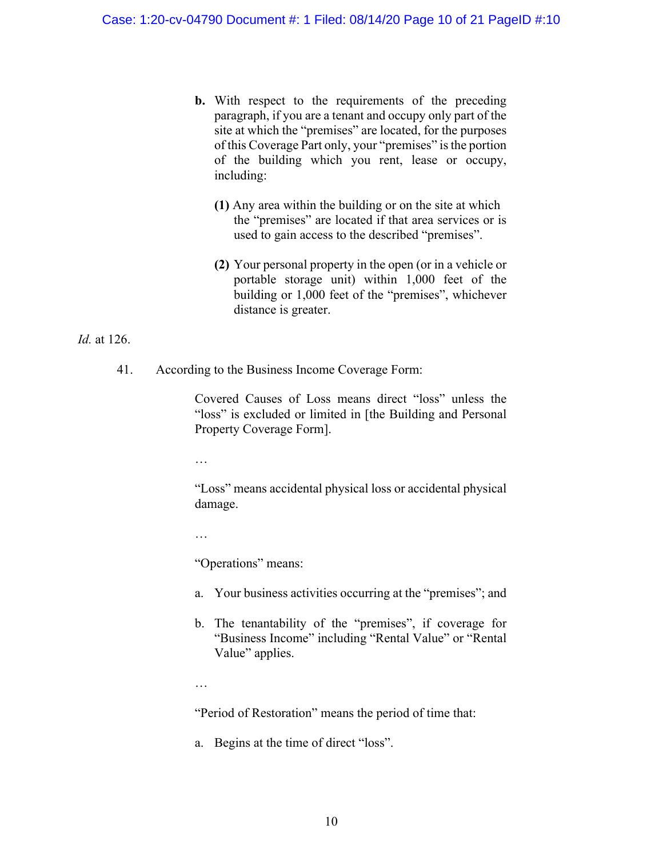- **b.** With respect to the requirements of the preceding paragraph, if you are a tenant and occupy only part of the site at which the "premises" are located, for the purposes of this Coverage Part only, your "premises" is the portion of the building which you rent, lease or occupy, including:
	- **(1)** Any area within the building or on the site at which the "premises" are located if that area services or is used to gain access to the described "premises".
	- **(2)** Your personal property in the open (or in a vehicle or portable storage unit) within 1,000 feet of the building or 1,000 feet of the "premises", whichever distance is greater.

## *Id.* at 126.

41. According to the Business Income Coverage Form:

Covered Causes of Loss means direct "loss" unless the "loss" is excluded or limited in [the Building and Personal Property Coverage Form].

…

"Loss" means accidental physical loss or accidental physical damage.

…

"Operations" means:

- a. Your business activities occurring at the "premises"; and
- b. The tenantability of the "premises", if coverage for "Business Income" including "Rental Value" or "Rental Value" applies.
- …

"Period of Restoration" means the period of time that:

a. Begins at the time of direct "loss".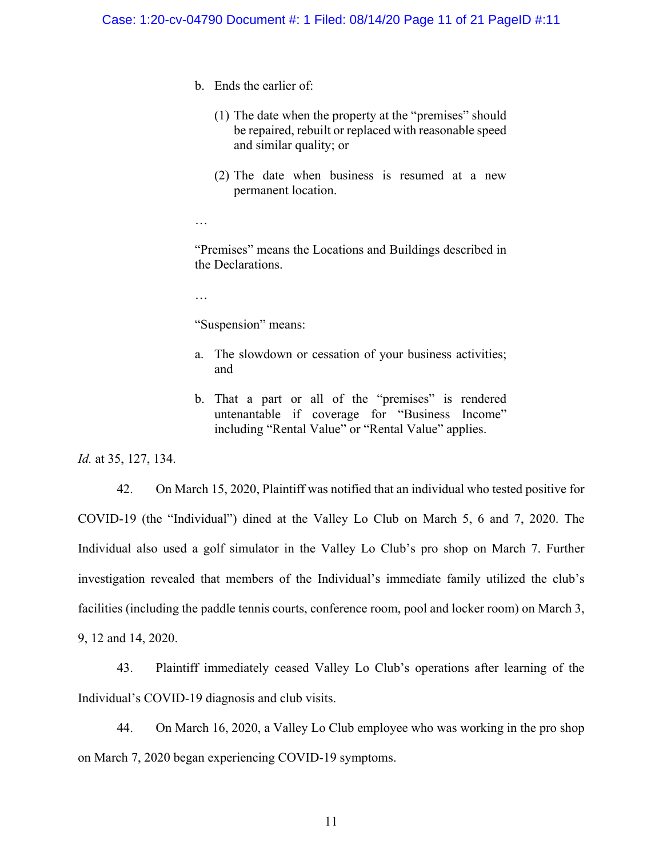- b. Ends the earlier of:
	- (1) The date when the property at the "premises" should be repaired, rebuilt or replaced with reasonable speed and similar quality; or
	- (2) The date when business is resumed at a new permanent location.
- …

"Premises" means the Locations and Buildings described in the Declarations.

…

"Suspension" means:

- a. The slowdown or cessation of your business activities; and
- b. That a part or all of the "premises" is rendered untenantable if coverage for "Business Income" including "Rental Value" or "Rental Value" applies.

*Id.* at 35, 127, 134.

42. On March 15, 2020, Plaintiff was notified that an individual who tested positive for COVID-19 (the "Individual") dined at the Valley Lo Club on March 5, 6 and 7, 2020. The Individual also used a golf simulator in the Valley Lo Club's pro shop on March 7. Further investigation revealed that members of the Individual's immediate family utilized the club's facilities (including the paddle tennis courts, conference room, pool and locker room) on March 3, 9, 12 and 14, 2020.

43. Plaintiff immediately ceased Valley Lo Club's operations after learning of the Individual's COVID-19 diagnosis and club visits.

44. On March 16, 2020, a Valley Lo Club employee who was working in the pro shop on March 7, 2020 began experiencing COVID-19 symptoms.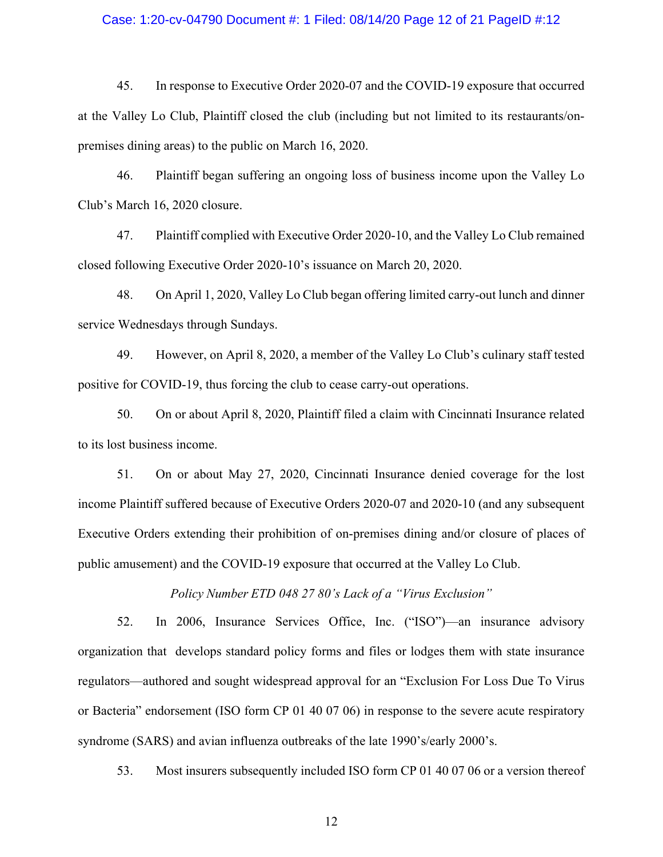## Case: 1:20-cv-04790 Document #: 1 Filed: 08/14/20 Page 12 of 21 PageID #:12

45. In response to Executive Order 2020-07 and the COVID-19 exposure that occurred at the Valley Lo Club, Plaintiff closed the club (including but not limited to its restaurants/onpremises dining areas) to the public on March 16, 2020.

46. Plaintiff began suffering an ongoing loss of business income upon the Valley Lo Club's March 16, 2020 closure.

47. Plaintiff complied with Executive Order 2020-10, and the Valley Lo Club remained closed following Executive Order 2020-10's issuance on March 20, 2020.

48. On April 1, 2020, Valley Lo Club began offering limited carry-out lunch and dinner service Wednesdays through Sundays.

49. However, on April 8, 2020, a member of the Valley Lo Club's culinary staff tested positive for COVID-19, thus forcing the club to cease carry-out operations.

50. On or about April 8, 2020, Plaintiff filed a claim with Cincinnati Insurance related to its lost business income.

51. On or about May 27, 2020, Cincinnati Insurance denied coverage for the lost income Plaintiff suffered because of Executive Orders 2020-07 and 2020-10 (and any subsequent Executive Orders extending their prohibition of on-premises dining and/or closure of places of public amusement) and the COVID-19 exposure that occurred at the Valley Lo Club.

*Policy Number ETD 048 27 80's Lack of a "Virus Exclusion"*

52. In 2006, Insurance Services Office, Inc. ("ISO")—an insurance advisory organization that develops standard policy forms and files or lodges them with state insurance regulators—authored and sought widespread approval for an "Exclusion For Loss Due To Virus or Bacteria" endorsement (ISO form CP 01 40 07 06) in response to the severe acute respiratory syndrome (SARS) and avian influenza outbreaks of the late 1990's/early 2000's.

53. Most insurers subsequently included ISO form CP 01 40 07 06 or a version thereof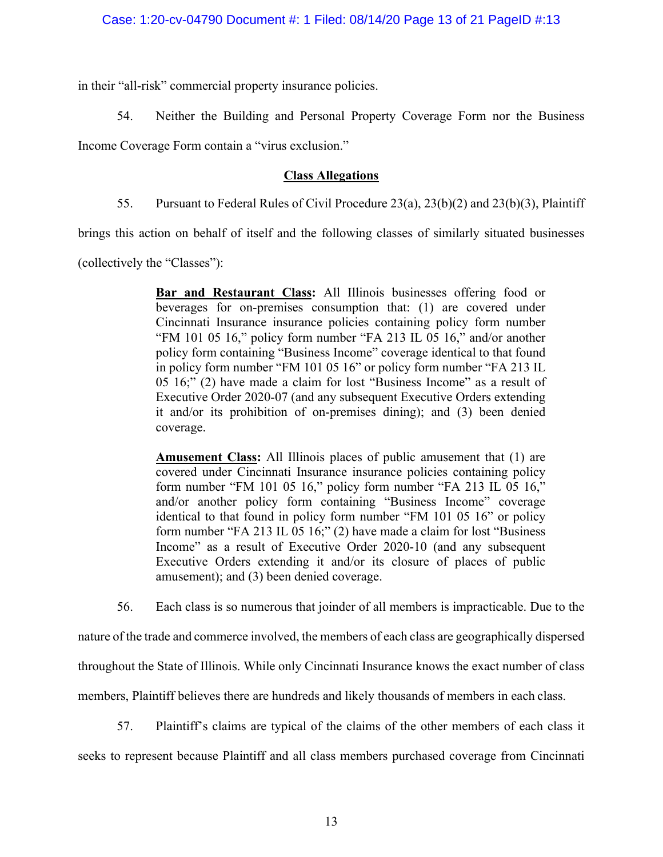in their "all-risk" commercial property insurance policies.

54. Neither the Building and Personal Property Coverage Form nor the Business

Income Coverage Form contain a "virus exclusion."

# **Class Allegations**

55. Pursuant to Federal Rules of Civil Procedure 23(a), 23(b)(2) and 23(b)(3), Plaintiff

brings this action on behalf of itself and the following classes of similarly situated businesses

(collectively the "Classes"):

**Bar and Restaurant Class:** All Illinois businesses offering food or beverages for on-premises consumption that: (1) are covered under Cincinnati Insurance insurance policies containing policy form number "FM 101 05 16," policy form number "FA 213 IL 05 16," and/or another policy form containing "Business Income" coverage identical to that found in policy form number "FM 101 05 16" or policy form number "FA 213 IL 05 16;" (2) have made a claim for lost "Business Income" as a result of Executive Order 2020-07 (and any subsequent Executive Orders extending it and/or its prohibition of on-premises dining); and (3) been denied coverage.

**Amusement Class:** All Illinois places of public amusement that (1) are covered under Cincinnati Insurance insurance policies containing policy form number "FM 101 05 16," policy form number "FA 213 IL 05 16," and/or another policy form containing "Business Income" coverage identical to that found in policy form number "FM 101 05 16" or policy form number "FA 213 IL 05 16;" (2) have made a claim for lost "Business Income" as a result of Executive Order 2020-10 (and any subsequent Executive Orders extending it and/or its closure of places of public amusement); and (3) been denied coverage.

56. Each class is so numerous that joinder of all members is impracticable. Due to the

nature of the trade and commerce involved, the members of each class are geographically dispersed

throughout the State of Illinois. While only Cincinnati Insurance knows the exact number of class

members, Plaintiff believes there are hundreds and likely thousands of members in each class.

57. Plaintiff's claims are typical of the claims of the other members of each class it

seeks to represent because Plaintiff and all class members purchased coverage from Cincinnati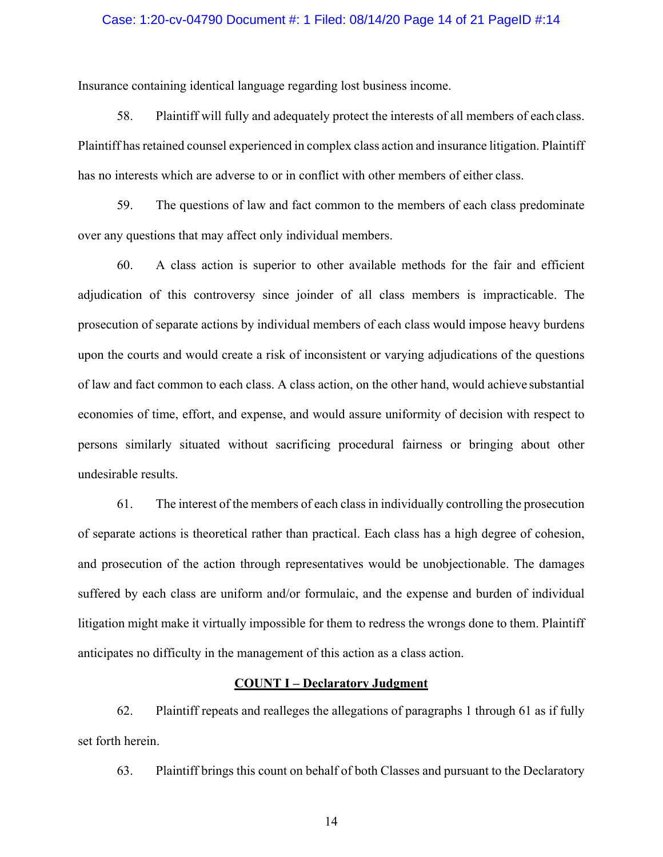### Case: 1:20-cv-04790 Document #: 1 Filed: 08/14/20 Page 14 of 21 PageID #:14

Insurance containing identical language regarding lost business income.

58. Plaintiff will fully and adequately protect the interests of all members of each class. Plaintiff has retained counsel experienced in complex class action and insurance litigation. Plaintiff has no interests which are adverse to or in conflict with other members of either class.

59. The questions of law and fact common to the members of each class predominate over any questions that may affect only individual members.

60. A class action is superior to other available methods for the fair and efficient adjudication of this controversy since joinder of all class members is impracticable. The prosecution of separate actions by individual members of each class would impose heavy burdens upon the courts and would create a risk of inconsistent or varying adjudications of the questions of law and fact common to each class. A class action, on the other hand, would achieve substantial economies of time, effort, and expense, and would assure uniformity of decision with respect to persons similarly situated without sacrificing procedural fairness or bringing about other undesirable results.

61. The interest of the members of each classin individually controlling the prosecution of separate actions is theoretical rather than practical. Each class has a high degree of cohesion, and prosecution of the action through representatives would be unobjectionable. The damages suffered by each class are uniform and/or formulaic, and the expense and burden of individual litigation might make it virtually impossible for them to redress the wrongs done to them. Plaintiff anticipates no difficulty in the management of this action as a class action.

## **COUNT I – Declaratory Judgment**

62. Plaintiff repeats and realleges the allegations of paragraphs 1 through 61 as if fully set forth herein.

63. Plaintiff brings this count on behalf of both Classes and pursuant to the Declaratory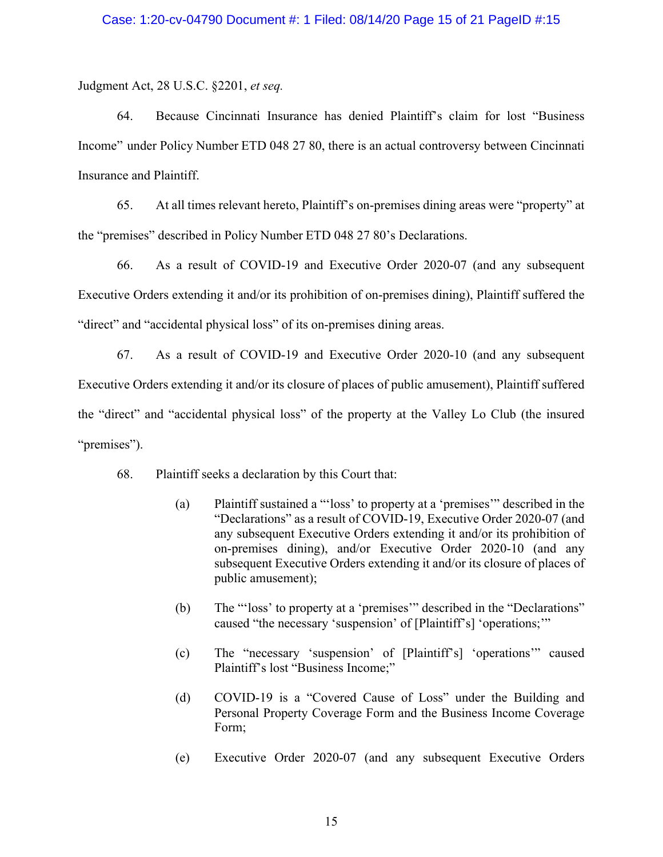Judgment Act, 28 U.S.C. §2201, *et seq.*

64. Because Cincinnati Insurance has denied Plaintiff's claim for lost "Business Income" under Policy Number ETD 048 27 80, there is an actual controversy between Cincinnati Insurance and Plaintiff.

65. At all times relevant hereto, Plaintiff's on-premises dining areas were "property" at the "premises" described in Policy Number ETD 048 27 80's Declarations.

66. As a result of COVID-19 and Executive Order 2020-07 (and any subsequent Executive Orders extending it and/or its prohibition of on-premises dining), Plaintiff suffered the "direct" and "accidental physical loss" of its on-premises dining areas.

67. As a result of COVID-19 and Executive Order 2020-10 (and any subsequent Executive Orders extending it and/or its closure of places of public amusement), Plaintiff suffered the "direct" and "accidental physical loss" of the property at the Valley Lo Club (the insured "premises").

68. Plaintiff seeks a declaration by this Court that:

- (a) Plaintiff sustained a "'loss' to property at a 'premises'" described in the "Declarations" as a result of COVID-19, Executive Order 2020-07 (and any subsequent Executive Orders extending it and/or its prohibition of on-premises dining), and/or Executive Order 2020-10 (and any subsequent Executive Orders extending it and/or its closure of places of public amusement);
- (b) The "'loss' to property at a 'premises'" described in the "Declarations" caused "the necessary 'suspension' of [Plaintiff's] 'operations;'"
- (c) The "necessary 'suspension' of [Plaintiff's] 'operations'" caused Plaintiff's lost "Business Income;"
- (d) COVID-19 is a "Covered Cause of Loss" under the Building and Personal Property Coverage Form and the Business Income Coverage Form;
- (e) Executive Order 2020-07 (and any subsequent Executive Orders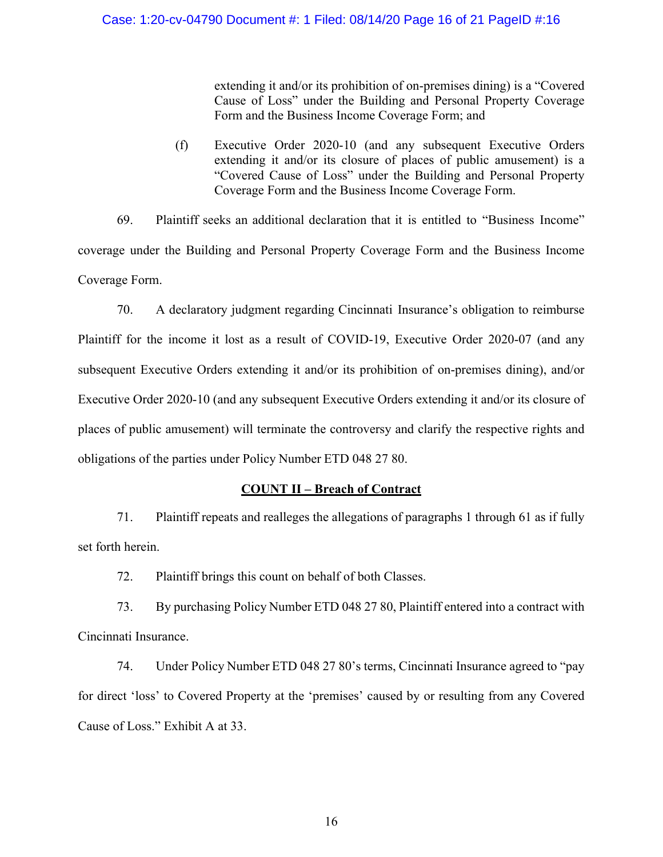extending it and/or its prohibition of on-premises dining) is a "Covered Cause of Loss" under the Building and Personal Property Coverage Form and the Business Income Coverage Form; and

(f) Executive Order 2020-10 (and any subsequent Executive Orders extending it and/or its closure of places of public amusement) is a "Covered Cause of Loss" under the Building and Personal Property Coverage Form and the Business Income Coverage Form.

69. Plaintiff seeks an additional declaration that it is entitled to "Business Income" coverage under the Building and Personal Property Coverage Form and the Business Income Coverage Form.

70. A declaratory judgment regarding Cincinnati Insurance's obligation to reimburse Plaintiff for the income it lost as a result of COVID-19, Executive Order 2020-07 (and any subsequent Executive Orders extending it and/or its prohibition of on-premises dining), and/or Executive Order 2020-10 (and any subsequent Executive Orders extending it and/or its closure of places of public amusement) will terminate the controversy and clarify the respective rights and obligations of the parties under Policy Number ETD 048 27 80.

# **COUNT II – Breach of Contract**

71. Plaintiff repeats and realleges the allegations of paragraphs 1 through 61 as if fully set forth herein.

72. Plaintiff brings this count on behalf of both Classes.

73. By purchasing Policy Number ETD 048 27 80, Plaintiff entered into a contract with Cincinnati Insurance.

74. Under Policy Number ETD 048 27 80's terms, Cincinnati Insurance agreed to "pay for direct 'loss' to Covered Property at the 'premises' caused by or resulting from any Covered Cause of Loss." Exhibit A at 33.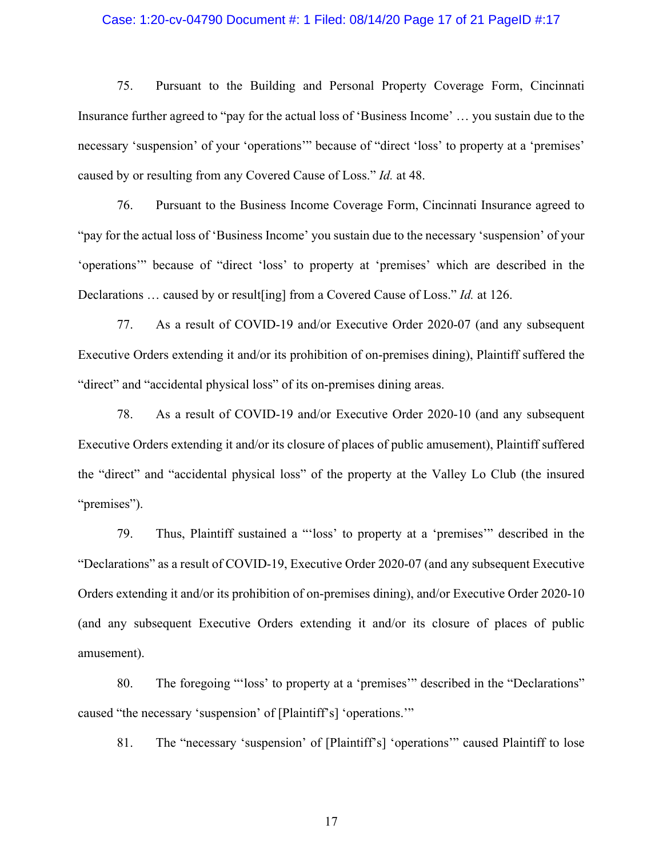## Case: 1:20-cv-04790 Document #: 1 Filed: 08/14/20 Page 17 of 21 PageID #:17

75. Pursuant to the Building and Personal Property Coverage Form, Cincinnati Insurance further agreed to "pay for the actual loss of 'Business Income' … you sustain due to the necessary 'suspension' of your 'operations'" because of "direct 'loss' to property at a 'premises' caused by or resulting from any Covered Cause of Loss." *Id.* at 48.

76. Pursuant to the Business Income Coverage Form, Cincinnati Insurance agreed to "pay for the actual loss of 'Business Income' you sustain due to the necessary 'suspension' of your 'operations'" because of "direct 'loss' to property at 'premises' which are described in the Declarations … caused by or result[ing] from a Covered Cause of Loss." *Id.* at 126.

77. As a result of COVID-19 and/or Executive Order 2020-07 (and any subsequent Executive Orders extending it and/or its prohibition of on-premises dining), Plaintiff suffered the "direct" and "accidental physical loss" of its on-premises dining areas.

78. As a result of COVID-19 and/or Executive Order 2020-10 (and any subsequent Executive Orders extending it and/or its closure of places of public amusement), Plaintiff suffered the "direct" and "accidental physical loss" of the property at the Valley Lo Club (the insured "premises").

79. Thus, Plaintiff sustained a "'loss' to property at a 'premises'" described in the "Declarations" as a result of COVID-19, Executive Order 2020-07 (and any subsequent Executive Orders extending it and/or its prohibition of on-premises dining), and/or Executive Order 2020-10 (and any subsequent Executive Orders extending it and/or its closure of places of public amusement).

80. The foregoing "'loss' to property at a 'premises'" described in the "Declarations" caused "the necessary 'suspension' of [Plaintiff's] 'operations.'"

81. The "necessary 'suspension' of [Plaintiff's] 'operations'" caused Plaintiff to lose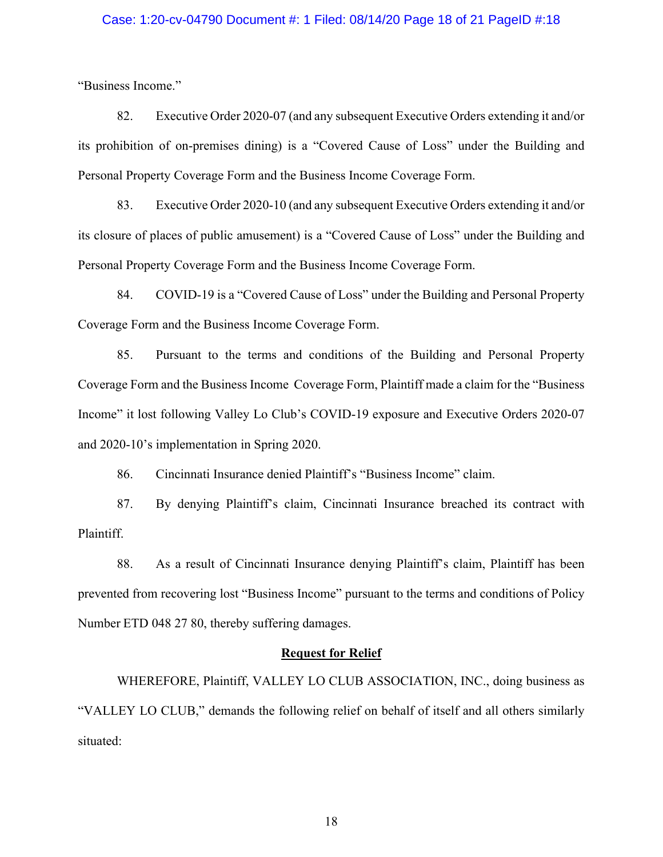## Case: 1:20-cv-04790 Document #: 1 Filed: 08/14/20 Page 18 of 21 PageID #:18

"Business Income."

82. Executive Order 2020-07 (and any subsequent Executive Orders extending it and/or its prohibition of on-premises dining) is a "Covered Cause of Loss" under the Building and Personal Property Coverage Form and the Business Income Coverage Form.

83. Executive Order 2020-10 (and any subsequent Executive Orders extending it and/or its closure of places of public amusement) is a "Covered Cause of Loss" under the Building and Personal Property Coverage Form and the Business Income Coverage Form.

84. COVID-19 is a "Covered Cause of Loss" under the Building and Personal Property Coverage Form and the Business Income Coverage Form.

85. Pursuant to the terms and conditions of the Building and Personal Property Coverage Form and the Business Income Coverage Form, Plaintiff made a claim for the "Business Income" it lost following Valley Lo Club's COVID-19 exposure and Executive Orders 2020-07 and 2020-10's implementation in Spring 2020.

86. Cincinnati Insurance denied Plaintiff's "Business Income" claim.

87. By denying Plaintiff's claim, Cincinnati Insurance breached its contract with Plaintiff.

88. As a result of Cincinnati Insurance denying Plaintiff's claim, Plaintiff has been prevented from recovering lost "Business Income" pursuant to the terms and conditions of Policy Number ETD 048 27 80, thereby suffering damages.

#### **Request for Relief**

WHEREFORE, Plaintiff, VALLEY LO CLUB ASSOCIATION, INC., doing business as "VALLEY LO CLUB," demands the following relief on behalf of itself and all others similarly situated: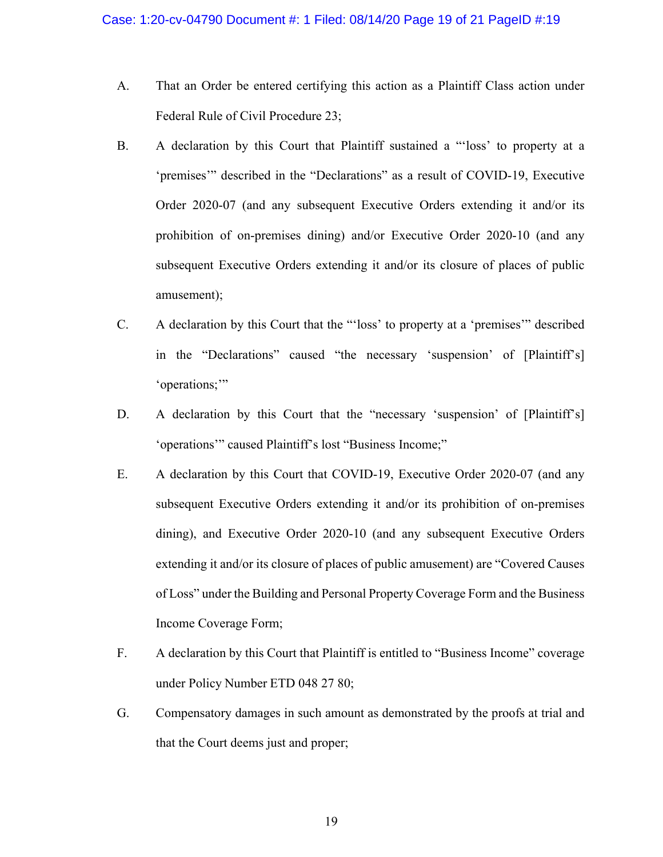- A. That an Order be entered certifying this action as a Plaintiff Class action under Federal Rule of Civil Procedure 23;
- B. A declaration by this Court that Plaintiff sustained a "'loss' to property at a 'premises'" described in the "Declarations" as a result of COVID-19, Executive Order 2020-07 (and any subsequent Executive Orders extending it and/or its prohibition of on-premises dining) and/or Executive Order 2020-10 (and any subsequent Executive Orders extending it and/or its closure of places of public amusement);
- C. A declaration by this Court that the "'loss' to property at a 'premises'" described in the "Declarations" caused "the necessary 'suspension' of [Plaintiff's] 'operations;'"
- D. A declaration by this Court that the "necessary 'suspension' of [Plaintiff's] 'operations'" caused Plaintiff's lost "Business Income;"
- E. A declaration by this Court that COVID-19, Executive Order 2020-07 (and any subsequent Executive Orders extending it and/or its prohibition of on-premises dining), and Executive Order 2020-10 (and any subsequent Executive Orders extending it and/or its closure of places of public amusement) are "Covered Causes of Loss" under the Building and Personal Property Coverage Form and the Business Income Coverage Form;
- F. A declaration by this Court that Plaintiff is entitled to "Business Income" coverage under Policy Number ETD 048 27 80;
- G. Compensatory damages in such amount as demonstrated by the proofs at trial and that the Court deems just and proper;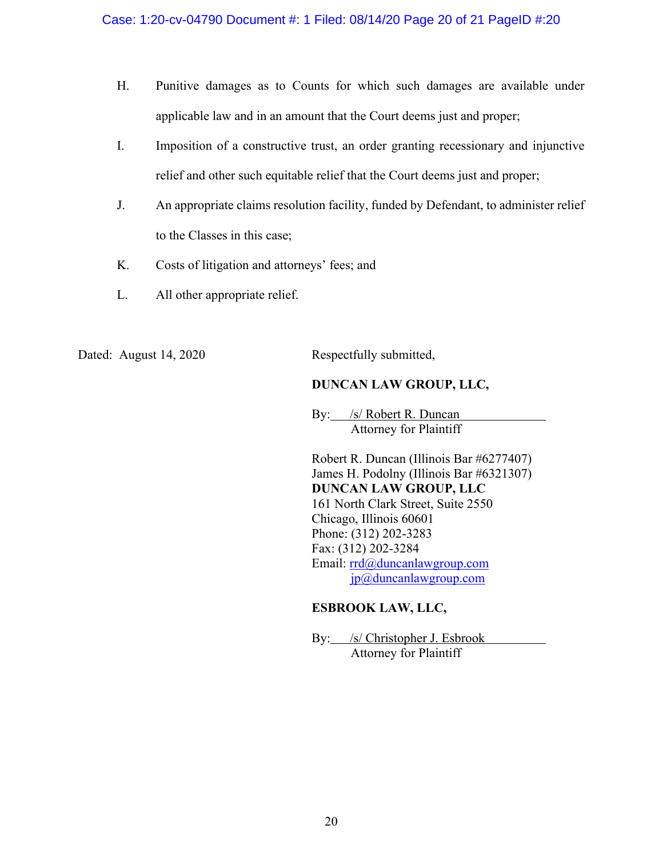- H. Punitive damages as to Counts for which such damages are available under applicable law and in an amount that the Court deems just and proper;
- I. Imposition of a constructive trust, an order granting recessionary and injunctive relief and other such equitable relief that the Court deems just and proper;
- J. An appropriate claims resolution facility, funded by Defendant, to administer relief to the Classes in this case;
- K. Costs of litigation and attorneys' fees; and
- L. All other appropriate relief.

Dated: August 14, 2020 Respectfully submitted,

# **DUNCAN LAW GROUP, LLC,**

By: /s/ Robert R. Duncan Attorney for Plaintiff

Robert R. Duncan (Illinois Bar #6277407) James H. Podolny (Illinois Bar #6321307) **DUNCAN LAW GROUP, LLC** 161 North Clark Street, Suite 2550 Chicago, Illinois 60601 Phone: (312) 202-3283 Fax: (312) 202-3284 Email: rrd@duncanlawgroup.com jp@duncanlawgroup.com

# **ESBROOK LAW, LLC,**

By: /s/ Christopher J. Esbrook Attorney for Plaintiff